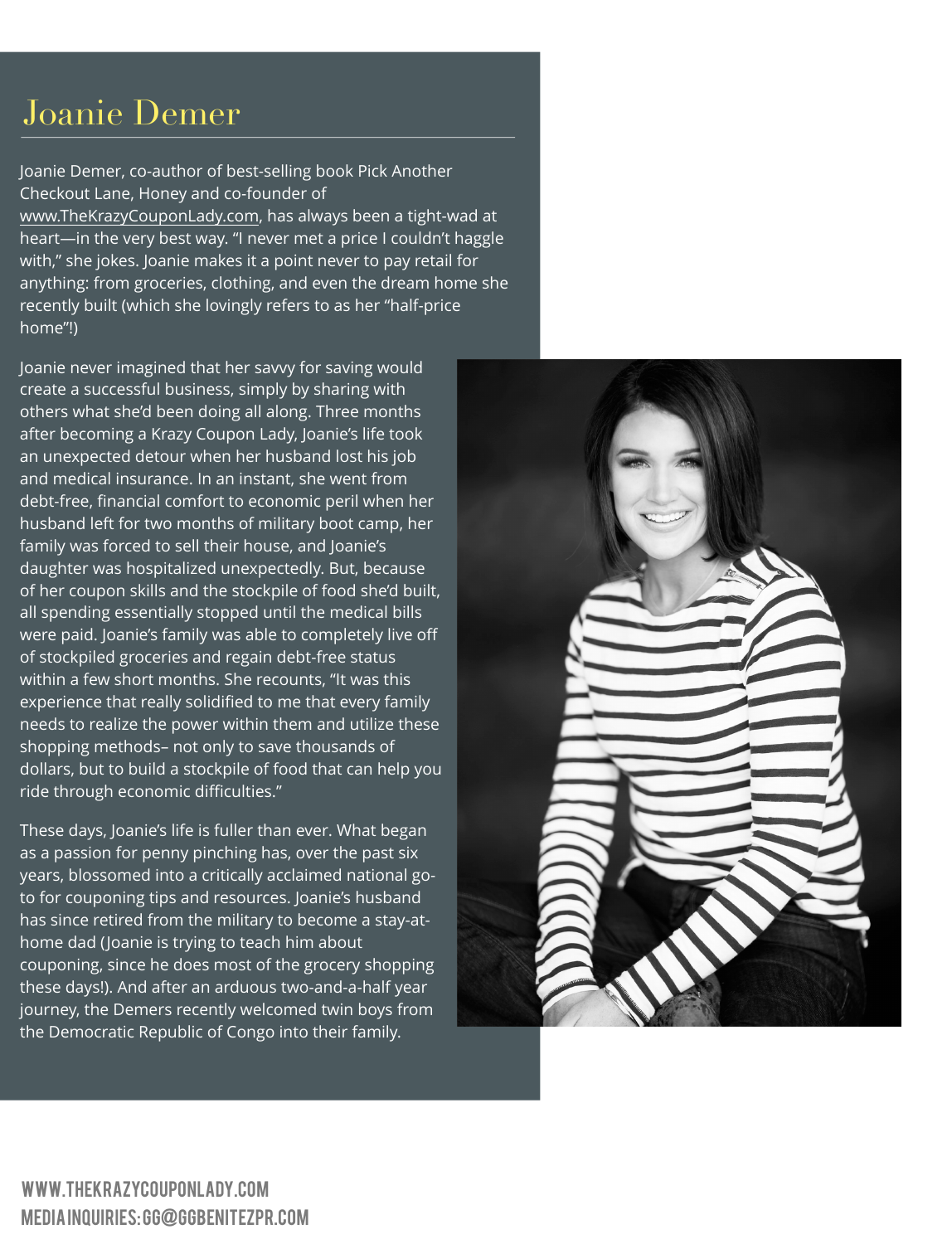## Joanie Demer

Joanie Demer, co-author of best-selling book Pick Another Checkout Lane, Honey and co-founder of [www.TheKrazyCouponLady.com,](http://www.TheKrazyCouponLady.com) has always been a tight-wad at heart—in the very best way. "I never met a price I couldn't haggle with," she jokes. Joanie makes it a point never to pay retail for anything: from groceries, clothing, and even the dream home she recently built (which she lovingly refers to as her "half-price home"!)

Joanie never imagined that her savvy for saving would create a successful business, simply by sharing with others what she'd been doing all along. Three months after becoming a Krazy Coupon Lady, Joanie's life took an unexpected detour when her husband lost his job and medical insurance. In an instant, she went from debt-free, financial comfort to economic peril when her husband left for two months of military boot camp, her family was forced to sell their house, and Joanie's daughter was hospitalized unexpectedly. But, because of her coupon skills and the stockpile of food she'd built, all spending essentially stopped until the medical bills were paid. Joanie's family was able to completely live off of stockpiled groceries and regain debt-free status within a few short months. She recounts, "It was this experience that really solidified to me that every family needs to realize the power within them and utilize these shopping methods– not only to save thousands of dollars, but to build a stockpile of food that can help you ride through economic difficulties."

These days, Joanie's life is fuller than ever. What began as a passion for penny pinching has, over the past six years, blossomed into a critically acclaimed national goto for couponing tips and resources. Joanie's husband has since retired from the military to become a stay-athome dad (Joanie is trying to teach him about couponing, since he does most of the grocery shopping these days!). And after an arduous two-and-a-half year journey, the Demers recently welcomed twin boys from the Democratic Republic of Congo into their family.

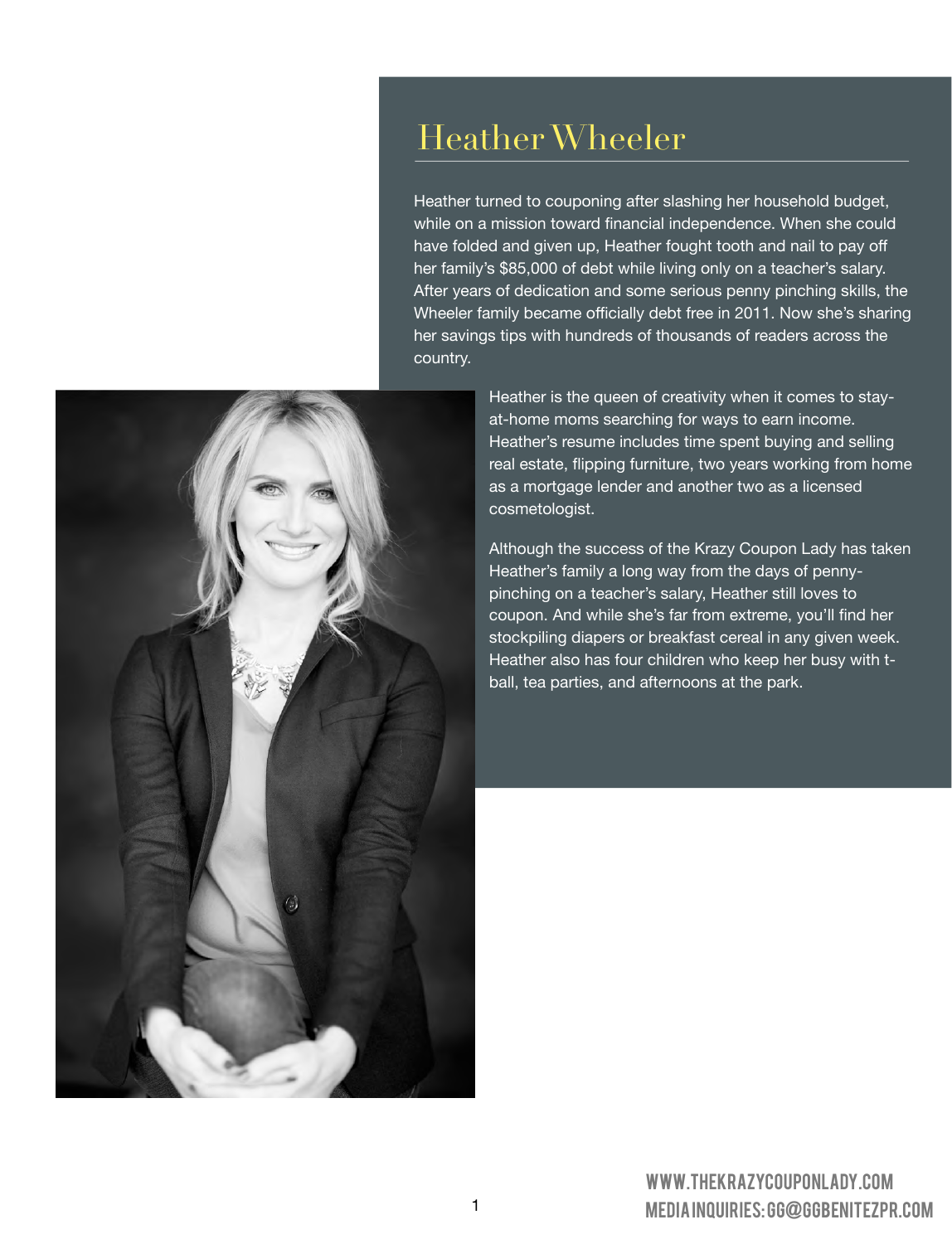### Heather Wheeler

Heather turned to couponing after slashing her household budget, while on a mission toward financial independence. When she could have folded and given up, Heather fought tooth and nail to pay off her family's \$85,000 of debt while living only on a teacher's salary. After years of dedication and some serious penny pinching skills, the Wheeler family became officially debt free in 2011. Now she's sharing her savings tips with hundreds of thousands of readers across the country.



Heather is the queen of creativity when it comes to stayat-home moms searching for ways to earn income. Heather's resume includes time spent buying and selling real estate, flipping furniture, two years working from home as a mortgage lender and another two as a licensed cosmetologist.

Although the success of the Krazy Coupon Lady has taken Heather's family a long way from the days of pennypinching on a teacher's salary, Heather still loves to coupon. And while she's far from extreme, you'll find her stockpiling diapers or breakfast cereal in any given week. Heather also has four children who keep her busy with tball, tea parties, and afternoons at the park.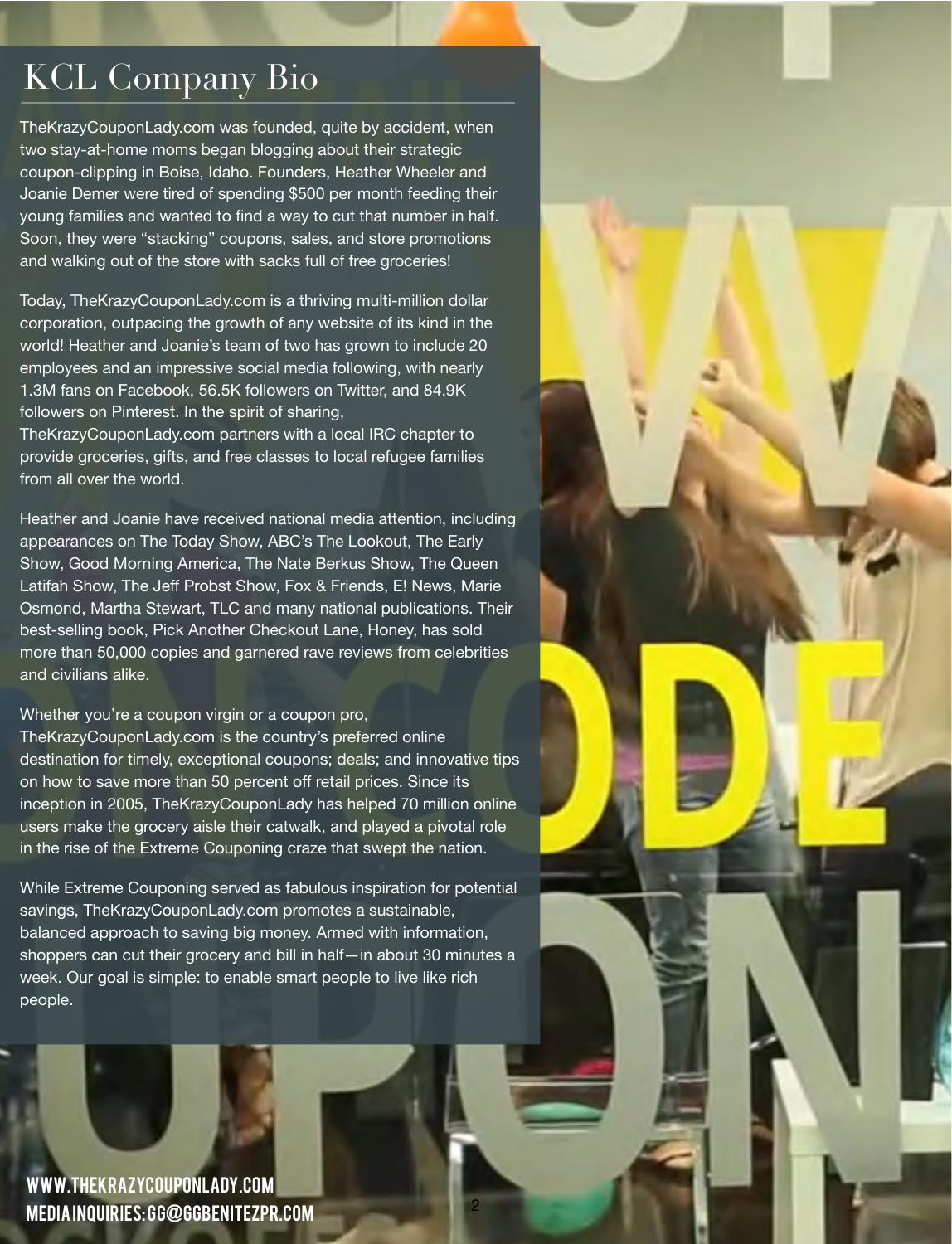## KCL Company Bio

TheKrazyCouponLady.com was founded, quite by accident, when two stay-at-home moms began blogging about their strategic coupon-clipping in Boise, Idaho. Founders, Heather Wheeler and Joanie Demer were tired of spending \$500 per month feeding their young families and wanted to find a way to cut that number in half. Soon, they were "stacking" coupons, sales, and store promotions and walking out of the store with sacks full of free groceries!

Today, TheKrazyCouponLady.com is a thriving multi-million dollar corporation, outpacing the growth of any website of its kind in the world! Heather and Joanie's team of two has grown to include 20 employees and an impressive social media following, with nearly 1.3M fans on Facebook, 56.5K followers on Twitter, and 84.9K followers on Pinterest. In the spirit of sharing,

TheKrazyCouponLady.com partners with a local IRC chapter to provide groceries, gifts, and free classes to local refugee families from all over the world.

Heather and Joanie have received national media attention, including appearances on The Today Show, ABC's The Lookout, The Early Show, Good Morning America, The Nate Berkus Show, The Queen Latifah Show, The Jeff Probst Show, Fox & Friends, E! News, Marie Osmond, Martha Stewart, TLC and many national publications. Their best-selling book, Pick Another Checkout Lane, Honey, has sold more than 50,000 copies and garnered rave reviews from celebrities and civilians alike.

Whether you're a coupon virgin or a coupon pro,

TheKrazyCouponLady.com is the country's preferred online destination for timely, exceptional coupons; deals; and innovative tips on how to save more than 50 percent off retail prices. Since its inception in 2005, TheKrazyCouponLady has helped 70 million online users make the grocery aisle their catwalk, and played a pivotal role in the rise of the Extreme Couponing craze that swept the nation.

While Extreme Couponing served as fabulous inspiration for potential savings, TheKrazyCouponLady.com promotes a sustainable, balanced approach to saving big money. Armed with information, shoppers can cut their grocery and bill in half—in about 30 minutes a week. Our goal is simple: to enable smart people to live like rich people.

2

[www.TheKrazyCouponLady.com](http://www.TheKrazyCouponLady.com) Media inquiries: [GG@GGBenitezPR.com](mailto:GG@GGBenitzPR.com)